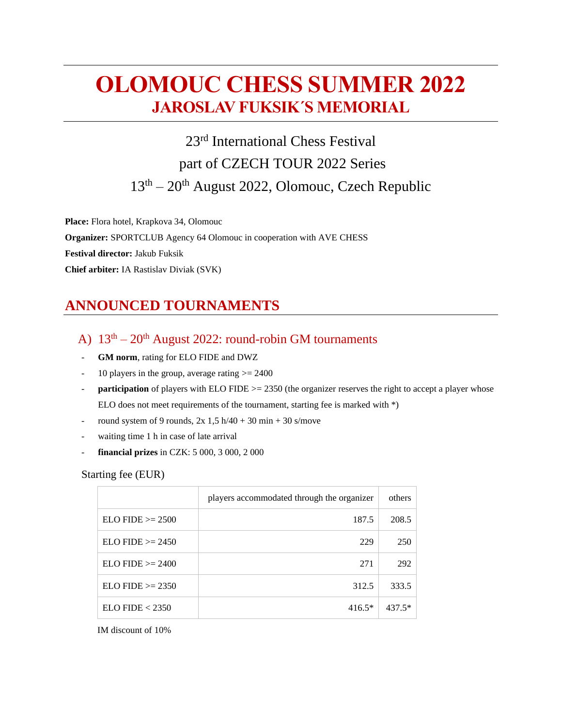# **OLOMOUC CHESS SUMMER 2022 JAROSLAV FUKSIK´S MEMORIAL**

23<sup>rd</sup> International Chess Festival part of CZECH TOUR 2022 Series 13<sup>th</sup> – 20<sup>th</sup> August 2022, Olomouc, Czech Republic

**Place:** Flora hotel, Krapkova 34, Olomouc **Organizer:** SPORTCLUB Agency 64 Olomouc in cooperation with AVE CHESS **Festival director:** Jakub Fuksik **Chief arbiter:** IA Rastislav Diviak (SVK)

# **ANNOUNCED TOURNAMENTS**

- A)  $13<sup>th</sup> 20<sup>th</sup>$  August 2022: round-robin GM tournaments
- GM norm, rating for ELO FIDE and DWZ
- 10 players in the group, average rating  $\geq$  2400
- **participation** of players with ELO FIDE >= 2350 (the organizer reserves the right to accept a player whose ELO does not meet requirements of the tournament, starting fee is marked with \*)
- round system of 9 rounds,  $2x \cdot 1.5$  h/40 + 30 min + 30 s/move
- waiting time 1 h in case of late arrival
- **financial prizes** in CZK: 5 000, 3 000, 2 000

#### Starting fee (EUR)

|                        | players accommodated through the organizer | others   |
|------------------------|--------------------------------------------|----------|
| $ELO FIDE \ge 2500$    | 187.5                                      | 208.5    |
| $ELO FIDE \ge 2450$    | 229                                        | 250      |
| $ELO$ FIDE $\geq$ 2400 | 271                                        | 292      |
| $ELO$ FIDE $\geq$ 2350 | 312.5                                      | 333.5    |
| ELO FIDE < 2350        | $416.5*$                                   | $437.5*$ |

IM discount of 10%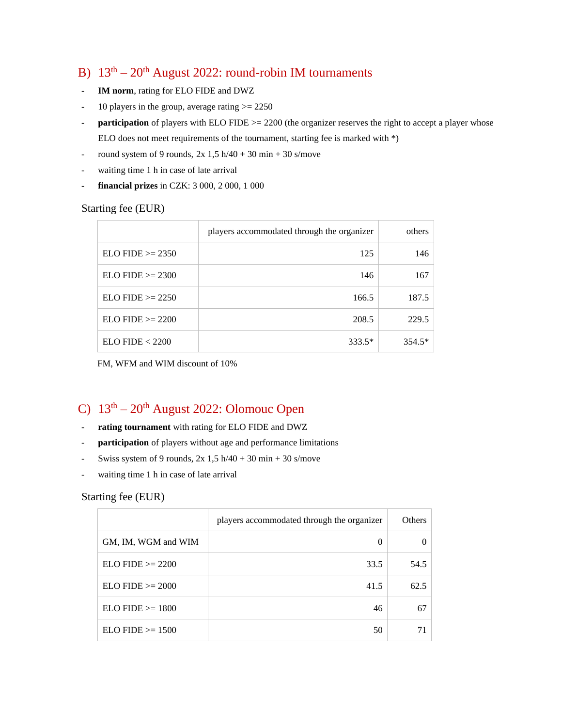### B)  $13<sup>th</sup> - 20<sup>th</sup>$  August 2022: round-robin IM tournaments

- IM norm, rating for ELO FIDE and DWZ
- 10 players in the group, average rating  $\ge$  2250
- **participation** of players with ELO FIDE  $>= 2200$  (the organizer reserves the right to accept a player whose ELO does not meet requirements of the tournament, starting fee is marked with \*)
- round system of 9 rounds,  $2x \cdot 1,5$  h/40 + 30 min + 30 s/move
- waiting time 1 h in case of late arrival
- **financial prizes** in CZK: 3 000, 2 000, 1 000

#### Starting fee (EUR)

|                        | players accommodated through the organizer | others   |
|------------------------|--------------------------------------------|----------|
| $ELO FIDE \ge 2350$    | 125                                        | 146      |
| $ELO FIDE \ge 2300$    | 146                                        | 167      |
| $ELO$ FIDE $\geq$ 2250 | 166.5                                      | 187.5    |
| $ELO FIDE \ge 2200$    | 208.5                                      | 229.5    |
| ELO FIDE < 2200        | 333.5*                                     | $354.5*$ |

FM, WFM and WIM discount of 10%

### C)  $13<sup>th</sup> - 20<sup>th</sup>$  August 2022: Olomouc Open

- rating tournament with rating for ELO FIDE and DWZ
- participation of players without age and performance limitations
- Swiss system of 9 rounds,  $2x \frac{1}{5} h/40 + 30 m in + 30 s/move$
- waiting time 1 h in case of late arrival

#### Starting fee (EUR)

|                     | players accommodated through the organizer | Others |
|---------------------|--------------------------------------------|--------|
| GM, IM, WGM and WIM | 0                                          |        |
| $ELO FIDE \ge 2200$ | 33.5                                       | 54.5   |
| $ELO FIDE \ge 2000$ | 41.5                                       | 62.5   |
| $ELO FIDE \ge 1800$ | 46                                         | 67     |
| $ELO FIDE \ge 1500$ | 50                                         |        |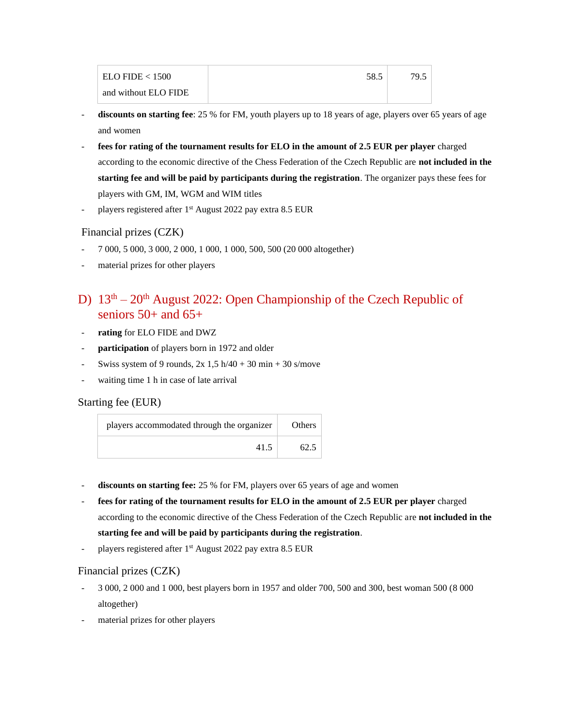| ELO FIDE < 1500      | 58.5 | 79.5 |
|----------------------|------|------|
| and without ELO FIDE |      |      |

- discounts on starting fee: 25 % for FM, youth players up to 18 years of age, players over 65 years of age and women
- **fees for rating of the tournament results for ELO in the amount of 2.5 EUR per player** charged according to the economic directive of the Chess Federation of the Czech Republic are **not included in the starting fee and will be paid by participants during the registration**. The organizer pays these fees for players with GM, IM, WGM and WIM titles
- players registered after 1<sup>st</sup> August 2022 pay extra 8.5 EUR

#### Financial prizes (CZK)

- 7 000, 5 000, 3 000, 2 000, 1 000, 1 000, 500, 500 (20 000 altogether)
- material prizes for other players

## D)  $13<sup>th</sup> - 20<sup>th</sup>$  August 2022: Open Championship of the Czech Republic of seniors  $50+$  and  $65+$

- **rating** for ELO FIDE and DWZ
- participation of players born in 1972 and older
- Swiss system of 9 rounds,  $2x \cdot 1,5 \cdot h/40 + 30 \cdot h/40 + 30 \cdot s/m$
- waiting time 1 h in case of late arrival

#### Starting fee (EUR)

| players accommodated through the organizer | <b>Others</b> |
|--------------------------------------------|---------------|
| 41.5                                       |               |

- discounts on starting fee: 25 % for FM, players over 65 years of age and women
- **fees for rating of the tournament results for ELO in the amount of 2.5 EUR per player** charged according to the economic directive of the Chess Federation of the Czech Republic are **not included in the starting fee and will be paid by participants during the registration**.
- players registered after 1<sup>st</sup> August 2022 pay extra 8.5 EUR

#### Financial prizes (CZK)

- 3 000, 2 000 and 1 000, best players born in 1957 and older 700, 500 and 300, best woman 500 (8 000 altogether)
- material prizes for other players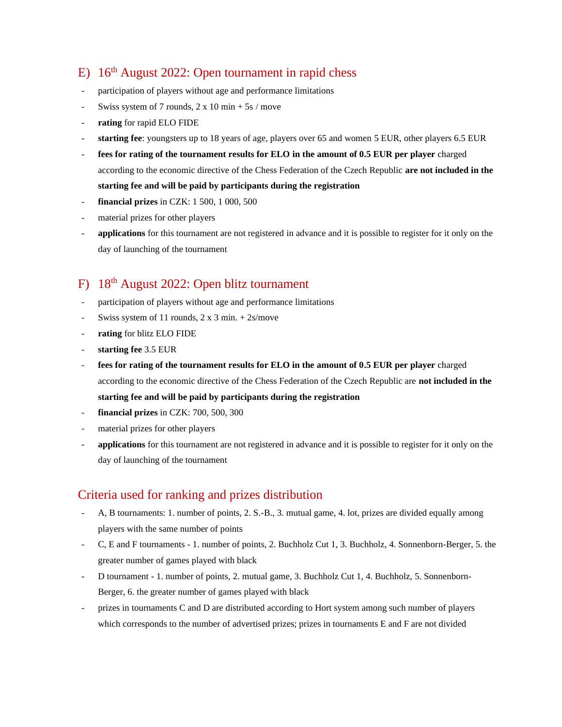### E) 16<sup>th</sup> August 2022: Open tournament in rapid chess

- participation of players without age and performance limitations
- Swiss system of 7 rounds,  $2 \times 10$  min + 5s / move
- **rating** for rapid ELO FIDE
- **starting fee**: youngsters up to 18 years of age, players over 65 and women 5 EUR, other players 6.5 EUR
- **fees for rating of the tournament results for ELO in the amount of 0.5 EUR per player** charged according to the economic directive of the Chess Federation of the Czech Republic **are not included in the starting fee and will be paid by participants during the registration**
- **financial prizes** in CZK: 1 500, 1 000, 500
- material prizes for other players
- **applications** for this tournament are not registered in advance and it is possible to register for it only on the day of launching of the tournament

### F) 18th August 2022: Open blitz tournament

- participation of players without age and performance limitations
- Swiss system of 11 rounds,  $2 \times 3$  min.  $+ 2s$ /move
- rating for blitz ELO FIDE
- **starting fee** 3.5 EUR
- **fees for rating of the tournament results for ELO in the amount of 0.5 EUR per player** charged according to the economic directive of the Chess Federation of the Czech Republic are **not included in the starting fee and will be paid by participants during the registration**
- **financial prizes** in CZK: 700, 500, 300
- material prizes for other players
- **applications** for this tournament are not registered in advance and it is possible to register for it only on the day of launching of the tournament

#### Criteria used for ranking and prizes distribution

- A, B tournaments: 1. number of points, 2. S.-B., 3. mutual game, 4. lot, prizes are divided equally among players with the same number of points
- C, E and F tournaments 1. number of points, 2. Buchholz Cut 1, 3. Buchholz, 4. Sonnenborn-Berger, 5. the greater number of games played with black
- D tournament 1. number of points, 2. mutual game, 3. Buchholz Cut 1, 4. Buchholz, 5. Sonnenborn-Berger, 6. the greater number of games played with black
- prizes in tournaments C and D are distributed according to Hort system among such number of players which corresponds to the number of advertised prizes; prizes in tournaments E and F are not divided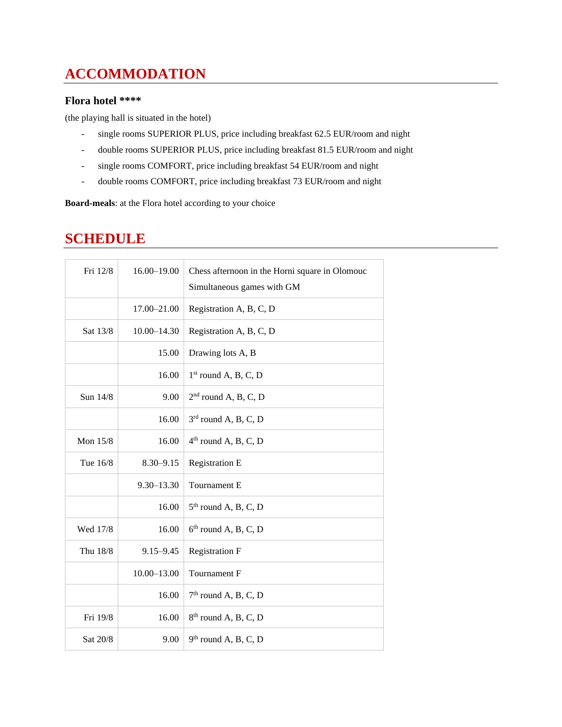# **ACCOMMODATION**

#### **Flora hotel \*\*\*\***

(the playing hall is situated in the hotel)

- single rooms SUPERIOR PLUS, price including breakfast 62.5 EUR/room and night
- double rooms SUPERIOR PLUS, price including breakfast 81.5 EUR/room and night
- single rooms COMFORT, price including breakfast 54 EUR/room and night
- double rooms COMFORT, price including breakfast 73 EUR/room and night

**Board-meals**: at the Flora hotel according to your choice

### **SCHEDULE**

| Fri 12/8 | 16.00-19.00     | Chess afternoon in the Horni square in Olomouc<br>Simultaneous games with GM |
|----------|-----------------|------------------------------------------------------------------------------|
|          | 17.00-21.00     | Registration A, B, C, D                                                      |
| Sat 13/8 | $10.00 - 14.30$ | Registration A, B, C, D                                                      |
|          | 15.00           | Drawing lots A, B                                                            |
|          | 16.00           | $1st$ round A, B, C, D                                                       |
| Sun 14/8 | 9.00            | $2nd$ round A, B, C, D                                                       |
|          | 16.00           | $3rd$ round A, B, C, D                                                       |
| Mon 15/8 | 16.00           | $4th$ round A, B, C, D                                                       |
| Tue 16/8 | $8.30 - 9.15$   | <b>Registration E</b>                                                        |
|          | $9.30 - 13.30$  | Tournament E                                                                 |
|          | 16.00           | $5th$ round A, B, C, D                                                       |
| Wed 17/8 | 16.00           | $6th$ round A, B, C, D                                                       |
| Thu 18/8 | $9.15 - 9.45$   | <b>Registration F</b>                                                        |
|          | $10.00 - 13.00$ | Tournament F                                                                 |
|          | 16.00           | $7th$ round A, B, C, D                                                       |
| Fri 19/8 | 16.00           | $8th$ round A, B, C, D                                                       |
| Sat 20/8 | 9.00            | $9th$ round A, B, C, D                                                       |